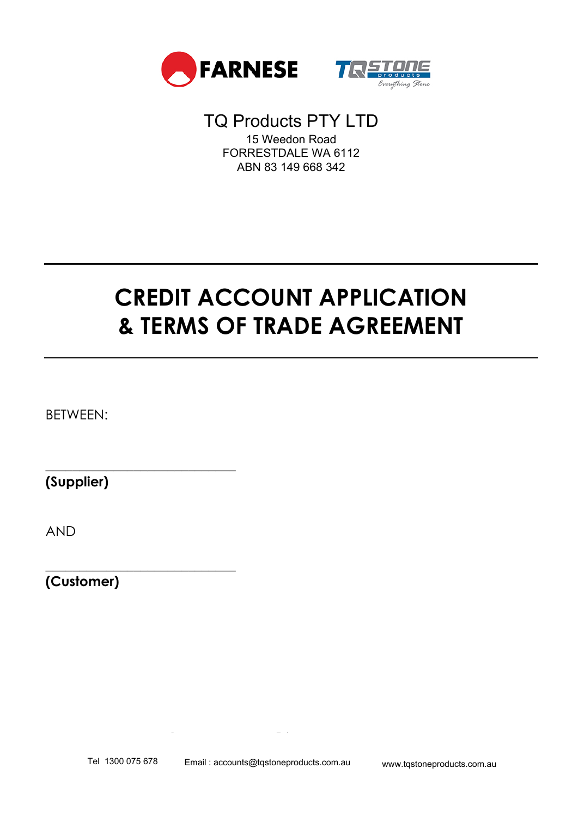



# TQ Products PTY LTD 15 Weedon Road FORRESTDALE WA 6112 ABN 83 149 668 342

# **CREDIT ACCOUNT APPLICATION & TERMS OF TRADE AGREEMENT**

BETWEEN:

**(Supplier)**

\_\_\_\_\_\_\_\_\_\_\_\_\_\_\_\_\_\_\_\_\_\_\_\_\_\_\_\_

\_\_\_\_\_\_\_\_\_\_\_\_\_\_\_\_\_\_\_\_\_\_\_\_\_\_\_\_

AND

**(Customer)**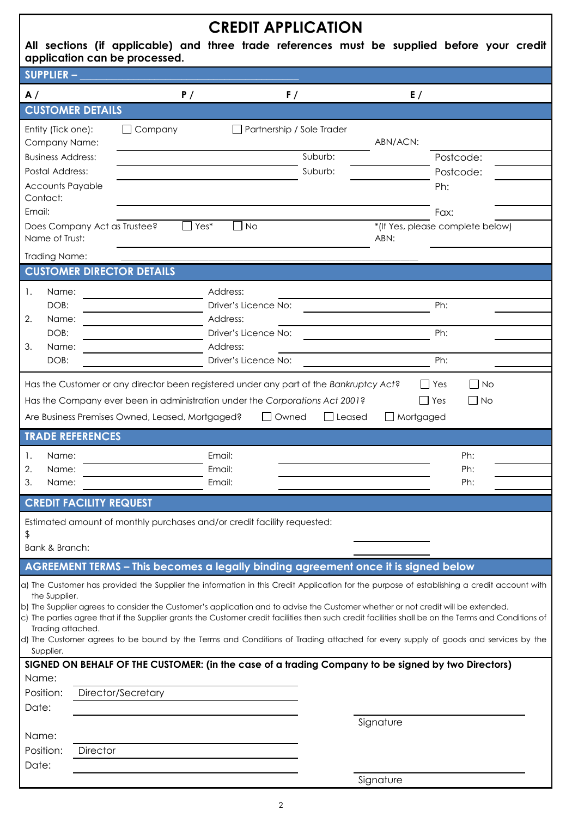|                                                |                                                 | <b>CREDIT APPLICATION</b>                                                                                |                                                                                                                                                                                                                                                                                         |
|------------------------------------------------|-------------------------------------------------|----------------------------------------------------------------------------------------------------------|-----------------------------------------------------------------------------------------------------------------------------------------------------------------------------------------------------------------------------------------------------------------------------------------|
| application can be processed.                  |                                                 |                                                                                                          | All sections (if applicable) and three trade references must be supplied before your credit                                                                                                                                                                                             |
| SUPPLIER-                                      |                                                 |                                                                                                          |                                                                                                                                                                                                                                                                                         |
| A /                                            | P/                                              | F/                                                                                                       | E/                                                                                                                                                                                                                                                                                      |
| <b>CUSTOMER DETAILS</b>                        |                                                 |                                                                                                          |                                                                                                                                                                                                                                                                                         |
| Entity (Tick one):                             | $\Box$ Company                                  | Partnership / Sole Trader                                                                                | ABN/ACN:                                                                                                                                                                                                                                                                                |
| Company Name:<br><b>Business Address:</b>      |                                                 | Suburb:                                                                                                  | Postcode:                                                                                                                                                                                                                                                                               |
| Postal Address:                                |                                                 | Suburb:                                                                                                  | Postcode:                                                                                                                                                                                                                                                                               |
| <b>Accounts Payable</b>                        |                                                 |                                                                                                          | Ph:                                                                                                                                                                                                                                                                                     |
| Contact:<br>Email:                             |                                                 |                                                                                                          | Fax:                                                                                                                                                                                                                                                                                    |
| Does Company Act as Trustee?<br>Name of Trust: | Yes*                                            | <b>No</b>                                                                                                | *(If Yes, please complete below)<br>ABN:                                                                                                                                                                                                                                                |
| <b>Trading Name:</b>                           |                                                 |                                                                                                          |                                                                                                                                                                                                                                                                                         |
| <b>CUSTOMER DIRECTOR DETAILS</b>               |                                                 |                                                                                                          |                                                                                                                                                                                                                                                                                         |
| 1.<br>Name:                                    |                                                 | Address:                                                                                                 |                                                                                                                                                                                                                                                                                         |
| DOB:                                           |                                                 | Driver's Licence No:                                                                                     | Ph:                                                                                                                                                                                                                                                                                     |
| 2.<br>Name:<br>DOB:                            |                                                 | Address:<br>Driver's Licence No:                                                                         | Ph:                                                                                                                                                                                                                                                                                     |
| 3.<br>Name:                                    |                                                 | Address:                                                                                                 |                                                                                                                                                                                                                                                                                         |
| DOB:                                           |                                                 | Driver's Licence No:                                                                                     | Ph:                                                                                                                                                                                                                                                                                     |
| <b>TRADE REFERENCES</b>                        | Are Business Premises Owned, Leased, Mortgaged? | Has the Company ever been in administration under the Corporations Act 2001?<br>$\Box$ Owned<br>  Leased | l lYes<br>$\Box$ No<br>Mortgaged                                                                                                                                                                                                                                                        |
| Name:<br>Ι.                                    |                                                 | Email:                                                                                                   | Ph:                                                                                                                                                                                                                                                                                     |
| 2.<br>Name:                                    |                                                 | Email:                                                                                                   | Ph:                                                                                                                                                                                                                                                                                     |
| 3.<br>Name:                                    |                                                 | Email:                                                                                                   | Ph:                                                                                                                                                                                                                                                                                     |
| <b>CREDIT FACILITY REQUEST</b>                 |                                                 |                                                                                                          |                                                                                                                                                                                                                                                                                         |
| \$<br>Bank & Branch:                           |                                                 | Estimated amount of monthly purchases and/or credit facility requested:                                  |                                                                                                                                                                                                                                                                                         |
|                                                |                                                 | AGREEMENT TERMS - This becomes a legally binding agreement once it is signed below                       |                                                                                                                                                                                                                                                                                         |
|                                                |                                                 |                                                                                                          | a) The Customer has provided the Supplier the information in this Credit Application for the purpose of establishing a credit account with                                                                                                                                              |
| the Supplier.                                  |                                                 |                                                                                                          |                                                                                                                                                                                                                                                                                         |
|                                                |                                                 |                                                                                                          | b) The Supplier agrees to consider the Customer's application and to advise the Customer whether or not credit will be extended.<br>c) The parties agree that if the Supplier grants the Customer credit facilities then such credit facilities shall be on the Terms and Conditions of |
| Trading attached.                              |                                                 |                                                                                                          | d) The Customer agrees to be bound by the Terms and Conditions of Trading attached for every supply of goods and services by the                                                                                                                                                        |
| Supplier.                                      |                                                 |                                                                                                          |                                                                                                                                                                                                                                                                                         |
|                                                |                                                 |                                                                                                          | SIGNED ON BEHALF OF THE CUSTOMER: (in the case of a trading Company to be signed by two Directors)                                                                                                                                                                                      |
| Name:<br>Position:                             | Director/Secretary                              |                                                                                                          |                                                                                                                                                                                                                                                                                         |
| Date:                                          |                                                 |                                                                                                          |                                                                                                                                                                                                                                                                                         |
|                                                |                                                 |                                                                                                          | Signature                                                                                                                                                                                                                                                                               |
| Name:                                          |                                                 |                                                                                                          |                                                                                                                                                                                                                                                                                         |
| Position:<br><b>Director</b><br>Date:          |                                                 |                                                                                                          |                                                                                                                                                                                                                                                                                         |
|                                                |                                                 |                                                                                                          | Signature                                                                                                                                                                                                                                                                               |

2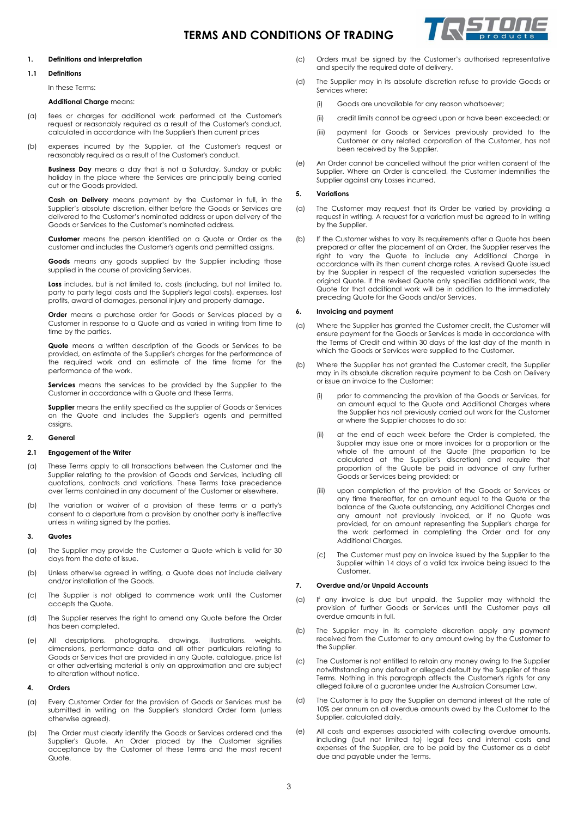## **TERMS AND CONDITIONS OF TRADING**



#### **1. Definitions and interpretation**

#### **1.1 Definitions**

In these Terms:

**Additional Charge** means:

- (a) fees or charges for additional work performed at the Customer's request or reasonably required as a result of the Customer's conduct, calculated in accordance with the Supplier's then current prices
- (b) expenses incurred by the Supplier, at the Customer's request or reasonably required as a result of the Customer's conduct.

**Business Day** means a day that is not a Saturday, Sunday or public holiday in the place where the Services are principally being carried out or the Goods provided.

**Cash on Delivery** means payment by the Customer in full, in the Supplier's absolute discretion, either before the Goods or Services are delivered to the Customer's nominated address or upon delivery of the Goods or Services to the Customer's nominated address.

**Customer** means the person identified on a Quote or Order as the customer and includes the Customer's agents and permitted assigns.

**Goods** means any goods supplied by the Supplier including those supplied in the course of providing Services.

**Loss** includes, but is not limited to, costs (including, but not limited to, party to party legal costs and the Supplier's legal costs), expenses, lost profits, award of damages, personal injury and property damage.

**Order** means a purchase order for Goods or Services placed by a Customer in response to a Quote and as varied in writing from time to time by the parties.

**Quote** means a written description of the Goods or Services to be provided, an estimate of the Supplier's charges for the performance of the required work and an estimate of the time frame for the performance of the work.

**Services** means the services to be provided by the Supplier to the Customer in accordance with a Quote and these Terms.

**Supplier** means the entity specified as the supplier of Goods or Services on the Quote and includes the Supplier's agents and permitted assigns.

#### **2. General**

#### **2.1 Engagement of the Writer**

- (a) These Terms apply to all transactions between the Customer and the Supplier relating to the provision of Goods and Services, including all quotations, contracts and variations. These Terms take precedence over Terms contained in any document of the Customer or elsewhere.
- (b) The variation or waiver of a provision of these terms or a party's consent to a departure from a provision by another party is ineffective unless in writing signed by the parties.

#### **3. Quotes**

- (a) The Supplier may provide the Customer a Quote which is valid for 30 days from the date of issue.
- (b) Unless otherwise agreed in writing, a Quote does not include delivery and/or installation of the Goods.
- (c) The Supplier is not obliged to commence work until the Customer accepts the Quote.
- (d) The Supplier reserves the right to amend any Quote before the Order has been completed.
- (e) All descriptions, photographs, drawings, illustrations, weights, dimensions, performance data and all other particulars relating to Goods or Services that are provided in any Quote, catalogue, price list or other advertising material is only an approximation and are subject to alteration without notice.

#### **4. Orders**

- (a) Every Customer Order for the provision of Goods or Services must be submitted in writing on the Supplier's standard Order form (unless otherwise agreed).
- (b) The Order must clearly identify the Goods or Services ordered and the Supplier's Quote. An Order placed by the Customer signifies acceptance by the Customer of these Terms and the most recent Quote.
- (c) Orders must be signed by the Customer's authorised representative and specify the required date of delivery.
- (d) The Supplier may in its absolute discretion refuse to provide Goods or Services where:
	- (i) Goods are unavailable for any reason whatsoever;
	- (ii) credit limits cannot be agreed upon or have been exceeded; or
	- (iii) payment for Goods or Services previously provided to the Customer or any related corporation of the Customer, has not been received by the Supplier.
- (e) An Order cannot be cancelled without the prior written consent of the Supplier. Where an Order is cancelled, the Customer indemnifies the Supplier against any Losses incurred.

#### **5. Variations**

- (a) The Customer may request that its Order be varied by providing a request in writing. A request for a variation must be agreed to in writing by the Supplier.
- (b) If the Customer wishes to vary its requirements after a Quote has been prepared or after the placement of an Order, the Supplier reserves the right to vary the Quote to include any Additional Charge in accordance with its then current charge rates. A revised Quote issued by the Supplier in respect of the requested variation supersedes the original Quote. If the revised Quote only specifies additional work, the Quote for that additional work will be in addition to the immediately preceding Quote for the Goods and/or Services.

#### **6. Invoicing and payment**

- (a) Where the Supplier has granted the Customer credit, the Customer will ensure payment for the Goods or Services is made in accordance with the Terms of Credit and within 30 days of the last day of the month in which the Goods or Services were supplied to the Customer.
- (b) Where the Supplier has not granted the Customer credit, the Supplier may in its absolute discretion require payment to be Cash on Delivery or issue an invoice to the Customer:
	- (i) prior to commencing the provision of the Goods or Services, for an amount equal to the Quote and Additional Charges where the Supplier has not previously carried out work for the Customer or where the Supplier chooses to do so;
	- (ii) at the end of each week before the Order is completed, the Supplier may issue one or more invoices for a proportion or the whole of the amount of the Quote (the proportion to be calculated at the Supplier's discretion) and require that proportion of the Quote be paid in advance of any further Goods or Services being provided; or
	- (iii) upon completion of the provision of the Goods or Services or any time thereafter, for an amount equal to the Quote or the balance of the Quote outstanding, any Additional Charges and any amount not previously invoiced, or if no Quote was provided, for an amount representing the Supplier's charge for the work performed in completing the Order and for any Additional Charges.
	- (c) The Customer must pay an invoice issued by the Supplier to the Supplier within 14 days of a valid tax invoice being issued to the Customer.

#### **7. Overdue and/or Unpaid Accounts**

- (a) If any invoice is due but unpaid, the Supplier may withhold the provision of further Goods or Services until the Customer pays all overdue amounts in full.
- (b) The Supplier may in its complete discretion apply any payment received from the Customer to any amount owing by the Customer to the Supplier.
- (c) The Customer is not entitled to retain any money owing to the Supplier notwithstanding any default or alleged default by the Supplier of these Terms. Nothing in this paragraph affects the Customer's rights for any alleged failure of a guarantee under the Australian Consumer Law.
- (d) The Customer is to pay the Supplier on demand interest at the rate of 10% per annum on all overdue amounts owed by the Customer to the Supplier, calculated daily.
- (e) All costs and expenses associated with collecting overdue amounts, including (but not limited to) legal fees and internal costs and expenses of the Supplier, are to be paid by the Customer as a debt due and payable under the Terms.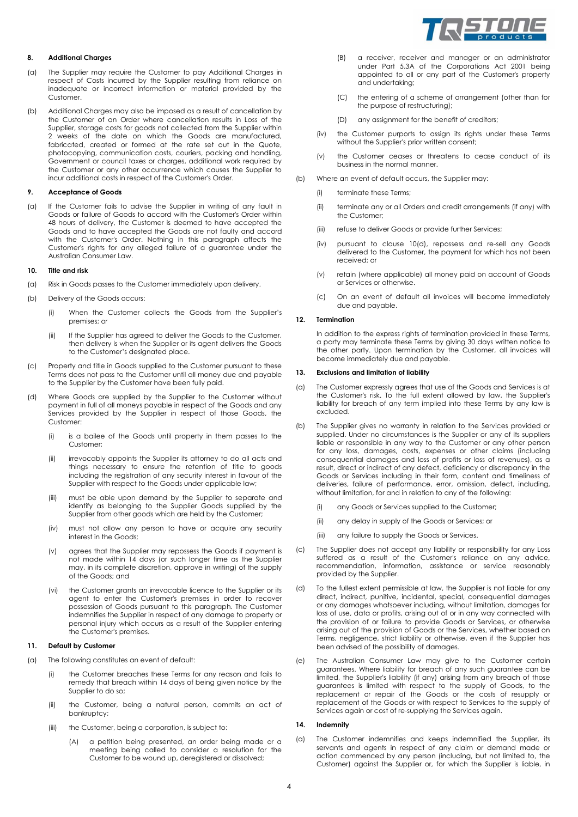

### **8. Additional Charges**

- (a) The Supplier may require the Customer to pay Additional Charges in respect of Costs incurred by the Supplier resulting from reliance on inadequate or incorrect information or material provided by the Customer.
- (b) Additional Charges may also be imposed as a result of cancellation by the Customer of an Order where cancellation results in Loss of the Supplier, storage costs for goods not collected from the Supplier within 2 weeks of the date on which the Goods are manufactured, fabricated, created or formed at the rate set out in the Quote, photocopying, communication costs, couriers, packing and handling, Government or council taxes or charges, additional work required by the Customer or any other occurrence which causes the Supplier to incur additional costs in respect of the Customer's Order.

#### **9. Acceptance of Goods**

(a) If the Customer fails to advise the Supplier in writing of any fault in Goods or failure of Goods to accord with the Customer's Order within 48 hours of delivery, the Customer is deemed to have accepted the Goods and to have accepted the Goods are not faulty and accord with the Customer's Order. Nothing in this paragraph affects the Customer's rights for any alleged failure of a guarantee under the Australian Consumer Law.

#### **10. Title and risk**

- (a) Risk in Goods passes to the Customer immediately upon delivery.
- (b) Delivery of the Goods occurs:
	- (i) When the Customer collects the Goods from the Supplier's premises; or
	- (ii) If the Supplier has agreed to deliver the Goods to the Customer, then delivery is when the Supplier or its agent delivers the Goods to the Customer's designated place.
- (c) Property and title in Goods supplied to the Customer pursuant to these Terms does not pass to the Customer until all money due and payable to the Supplier by the Customer have been fully paid.
- (d) Where Goods are supplied by the Supplier to the Customer without payment in full of all moneys payable in respect of the Goods and any Services provided by the Supplier in respect of those Goods, the Customer:
	- (i) is a bailee of the Goods until property in them passes to the Customer;
	- (ii) irrevocably appoints the Supplier its attorney to do all acts and things necessary to ensure the retention of title to goods including the registration of any security interest in favour of the Supplier with respect to the Goods under applicable law;
	- (iii) must be able upon demand by the Supplier to separate and identify as belonging to the Supplier Goods supplied by the Supplier from other goods which are held by the Customer;
	- (iv) must not allow any person to have or acquire any security interest in the Goods;
	- (v) agrees that the Supplier may repossess the Goods if payment is not made within 14 days (or such longer time as the Supplier may, in its complete discretion, approve in writing) of the supply of the Goods; and
	- (vi) the Customer grants an irrevocable licence to the Supplier or its agent to enter the Customer's premises in order to recover possession of Goods pursuant to this paragraph. The Customer indemnifies the Supplier in respect of any damage to property or personal injury which occurs as a result of the Supplier entering the Customer's premises.

#### **11. Default by Customer**

- (a) The following constitutes an event of default:
	- (i) the Customer breaches these Terms for any reason and fails to remedy that breach within 14 days of being given notice by the Supplier to do so;
	- (ii) the Customer, being a natural person, commits an act of bankruptcy;
	- (iii) the Customer, being a corporation, is subject to:
		- (A) a petition being presented, an order being made or a meeting being called to consider a resolution for the Customer to be wound up, deregistered or dissolved;
- (B) a receiver, receiver and manager or an administrator under Part 5.3A of the Corporations Act 2001 being appointed to all or any part of the Customer's property and undertaking;
- (C) the entering of a scheme of arrangement (other than for the purpose of restructuring);
- (D) any assignment for the benefit of creditors;
- (iv) the Customer purports to assign its rights under these Terms without the Supplier's prior written consent;
- (v) the Customer ceases or threatens to cease conduct of its business in the normal manner.
- (b) Where an event of default occurs, the Supplier may:
	- (i) terminate these Terms;
	- (ii) terminate any or all Orders and credit arrangements (if any) with the Customer;
	- (iii) refuse to deliver Goods or provide further Services;
	- (iv) pursuant to clause 10(d), repossess and re-sell any Goods delivered to the Customer, the payment for which has not been received; or
	- (v) retain (where applicable) all money paid on account of Goods or Services or otherwise.
	- (c) On an event of default all invoices will become immediately due and payable.

#### **12. Termination**

In addition to the express rights of termination provided in these Terms, a party may terminate these Terms by giving 30 days written notice to the other party. Upon termination by the Customer, all invoices will become immediately due and payable.

### **13. Exclusions and limitation of liability**

- (a) The Customer expressly agrees that use of the Goods and Services is at the Customer's risk. To the full extent allowed by law, the Supplier's liability for breach of any term implied into these Terms by any law is excluded.
- (b) The Supplier gives no warranty in relation to the Services provided or supplied. Under no circumstances is the Supplier or any of its suppliers liable or responsible in any way to the Customer or any other person for any loss, damages, costs, expenses or other claims (including consequential damages and loss of profits or loss of revenues), as a result, direct or indirect of any defect, deficiency or discrepancy in the Goods or Services including in their form, content and timeliness of deliveries, failure of performance, error, omission, defect, including, without limitation, for and in relation to any of the following:
	- (i) any Goods or Services supplied to the Customer;
	- (ii) any delay in supply of the Goods or Services; or
	- (iii) any failure to supply the Goods or Services.
- (c) The Supplier does not accept any liability or responsibility for any Loss suffered as a result of the Customer's reliance on any advice, recommendation, information, assistance or service reasonably provided by the Supplier.
- (d) To the fullest extent permissible at law, the Supplier is not liable for any direct, indirect, punitive, incidental, special, consequential damages or any damages whatsoever including, without limitation, damages for loss of use, data or profits, arising out of or in any way connected with the provision of or failure to provide Goods or Services, or otherwise arising out of the provision of Goods or the Services, whether based on Terms, negligence, strict liability or otherwise, even if the Supplier has been advised of the possibility of damages.
- (e) The Australian Consumer Law may give to the Customer certain guarantees. Where liability for breach of any such guarantee can be limited, the Supplier's liability (if any) arising from any breach of those guarantees is limited with respect to the supply of Goods, to the replacement or repair of the Goods or the costs of resupply or replacement of the Goods or with respect to Services to the supply of Services again or cost of re-supplying the Services again.

#### **14. Indemnity**

(a) The Customer indemnifies and keeps indemnified the Supplier, its servants and agents in respect of any claim or demand made or action commenced by any person (including, but not limited to, the Customer) against the Supplier or, for which the Supplier is liable, in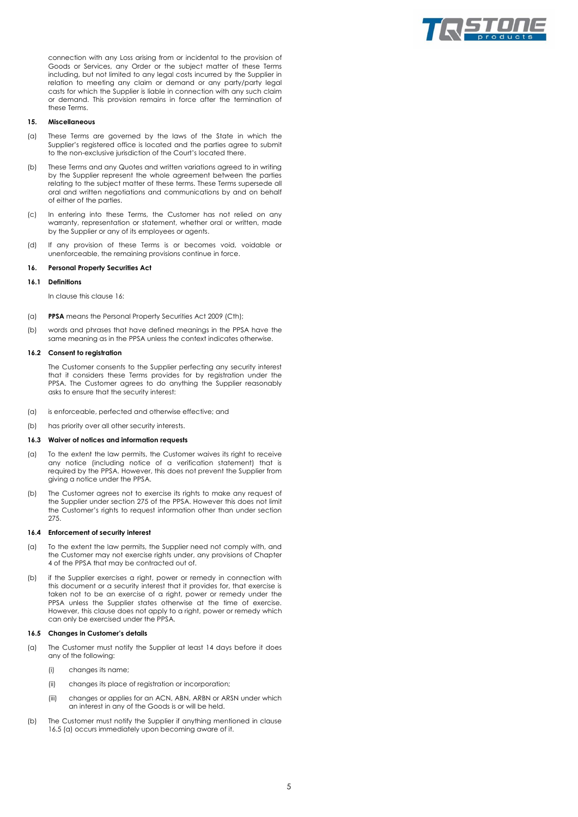

connection with any Loss arising from or incidental to the provision of Goods or Services, any Order or the subject matter of these Terms including, but not limited to any legal costs incurred by the Supplier in relation to meeting any claim or demand or any party/party legal casts for which the Supplier is liable in connection with any such claim or demand. This provision remains in force after the termination of these Terms.

#### **15. Miscellaneous**

- (a) These Terms are governed by the laws of the State in which the Supplier's registered office is located and the parties agree to submit to the non-exclusive jurisdiction of the Court's located there.
- (b) These Terms and any Quotes and written variations agreed to in writing by the Supplier represent the whole agreement between the parties relating to the subject matter of these terms. These Terms supersede all oral and written negotiations and communications by and on behalf of either of the parties.
- (c) In entering into these Terms, the Customer has not relied on any warranty, representation or statement, whether oral or written, made by the Supplier or any of its employees or agents.
- (d) If any provision of these Terms is or becomes void, voidable or unenforceable, the remaining provisions continue in force.

#### <span id="page-4-0"></span>**16. Personal Property Securities Act**

#### **16.1 Definitions**

In clause this claus[e 16:](#page-4-0)

- (a) **PPSA** means the Personal Property Securities Act 2009 (Cth);
- (b) words and phrases that have defined meanings in the PPSA have the same meaning as in the PPSA unless the context indicates otherwise.

#### **16.2 Consent to registration**

The Customer consents to the Supplier perfecting any security interest that it considers these Terms provides for by registration under the PPSA. The Customer agrees to do anything the Supplier reasonably asks to ensure that the security interest:

- (a) is enforceable, perfected and otherwise effective; and
- (b) has priority over all other security interests.

#### **16.3 Waiver of notices and information requests**

- (a) To the extent the law permits, the Customer waives its right to receive any notice (including notice of a verification statement) that is required by the PPSA. However, this does not prevent the Supplier from giving a notice under the PPSA.
- (b) The Customer agrees not to exercise its rights to make any request of the Supplier under section 275 of the PPSA. However this does not limit the Customer's rights to request information other than under section 275.

#### **16.4 Enforcement of security interest**

- (a) To the extent the law permits, the Supplier need not comply with, and the Customer may not exercise rights under, any provisions of Chapter 4 of the PPSA that may be contracted out of.
- (b) if the Supplier exercises a right, power or remedy in connection with this document or a security interest that it provides for, that exercise is taken not to be an exercise of a right, power or remedy under the PPSA unless the Supplier states otherwise at the time of exercise. However, this clause does not apply to a right, power or remedy which can only be exercised under the PPSA.

#### **16.5 Changes in Customer's details**

- <span id="page-4-1"></span>(a) The Customer must notify the Supplier at least 14 days before it does any of the following:
	- (i) changes its name;
	- (ii) changes its place of registration or incorporation;
	- (iii) changes or applies for an ACN, ABN, ARBN or ARSN under which an interest in any of the Goods is or will be held.
- (b) The Customer must notify the Supplier if anything mentioned in clause 16.[5 \(a\)](#page-4-1) occurs immediately upon becoming aware of it.